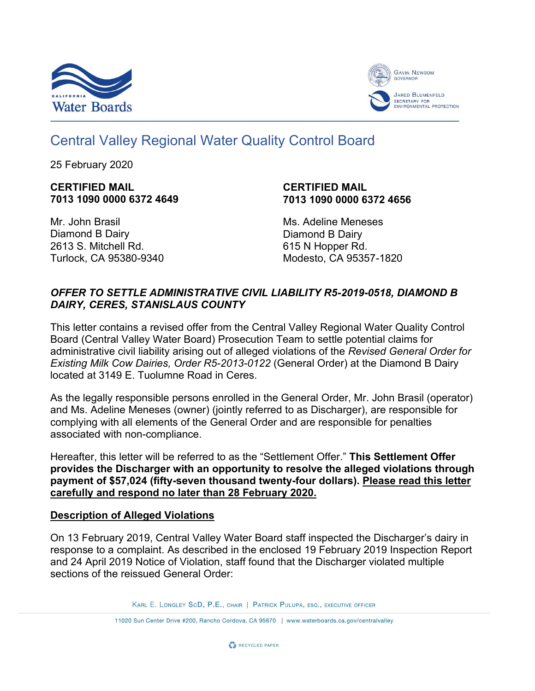



# Central Valley Regional Water Quality Control Board

25 February 2020

#### **CERTIFIED MAIL 7013 1090 0000 6372 4649**

#### **CERTIFIED MAIL 7013 1090 0000 6372 4656**

Mr. John Brasil Diamond B Dairy 2613 S. Mitchell Rd. Turlock, CA 95380-9340 Ms. Adeline Meneses Diamond B Dairy 615 N Hopper Rd. Modesto, CA 95357-1820

# *OFFER TO SETTLE ADMINISTRATIVE CIVIL LIABILITY R5-2019-0518, DIAMOND B DAIRY, CERES, STANISLAUS COUNTY*

This letter contains a revised offer from the Central Valley Regional Water Quality Control Board (Central Valley Water Board) Prosecution Team to settle potential claims for administrative civil liability arising out of alleged violations of the *Revised General Order for Existing Milk Cow Dairies, Order R5-2013-0122* (General Order) at the Diamond B Dairy located at 3149 E. Tuolumne Road in Ceres.

As the legally responsible persons enrolled in the General Order, Mr. John Brasil (operator) and Ms. Adeline Meneses (owner) (jointly referred to as Discharger), are responsible for complying with all elements of the General Order and are responsible for penalties associated with non-compliance.

Hereafter, this letter will be referred to as the "Settlement Offer." **This Settlement Offer provides the Discharger with an opportunity to resolve the alleged violations through payment of \$57,024 (fifty-seven thousand twenty-four dollars). Please read this letter carefully and respond no later than 28 February 2020.**

# **Description of Alleged Violations**

On 13 February 2019, Central Valley Water Board staff inspected the Discharger's dairy in response to a complaint. As described in the enclosed 19 February 2019 Inspection Report and 24 April 2019 Notice of Violation, staff found that the Discharger violated multiple sections of the reissued General Order:

KARL E. LONGLEY SCD, P.E., CHAIR | PATRICK PULUPA, ESQ., EXECUTIVE OFFICER

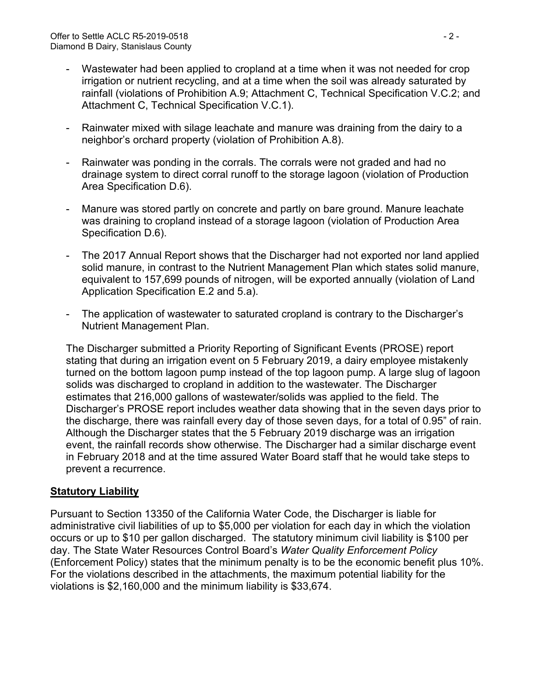- Wastewater had been applied to cropland at a time when it was not needed for crop irrigation or nutrient recycling, and at a time when the soil was already saturated by rainfall (violations of Prohibition A.9; Attachment C, Technical Specification V.C.2; and Attachment C, Technical Specification V.C.1).
- Rainwater mixed with silage leachate and manure was draining from the dairy to a neighbor's orchard property (violation of Prohibition A.8).
- Rainwater was ponding in the corrals. The corrals were not graded and had no drainage system to direct corral runoff to the storage lagoon (violation of Production Area Specification D.6).
- Manure was stored partly on concrete and partly on bare ground. Manure leachate was draining to cropland instead of a storage lagoon (violation of Production Area Specification D.6).
- The 2017 Annual Report shows that the Discharger had not exported nor land applied solid manure, in contrast to the Nutrient Management Plan which states solid manure, equivalent to 157,699 pounds of nitrogen, will be exported annually (violation of Land Application Specification E.2 and 5.a).
- The application of wastewater to saturated cropland is contrary to the Discharger's Nutrient Management Plan.

The Discharger submitted a Priority Reporting of Significant Events (PROSE) report stating that during an irrigation event on 5 February 2019, a dairy employee mistakenly turned on the bottom lagoon pump instead of the top lagoon pump. A large slug of lagoon solids was discharged to cropland in addition to the wastewater. The Discharger estimates that 216,000 gallons of wastewater/solids was applied to the field. The Discharger's PROSE report includes weather data showing that in the seven days prior to the discharge, there was rainfall every day of those seven days, for a total of 0.95" of rain. Although the Discharger states that the 5 February 2019 discharge was an irrigation event, the rainfall records show otherwise. The Discharger had a similar discharge event in February 2018 and at the time assured Water Board staff that he would take steps to prevent a recurrence.

# **Statutory Liability**

Pursuant to Section 13350 of the California Water Code, the Discharger is liable for administrative civil liabilities of up to \$5,000 per violation for each day in which the violation occurs or up to \$10 per gallon discharged. The statutory minimum civil liability is \$100 per day. The State Water Resources Control Board's *Water Quality Enforcement Policy* (Enforcement Policy) states that the minimum penalty is to be the economic benefit plus 10%. For the violations described in the attachments, the maximum potential liability for the violations is \$2,160,000 and the minimum liability is \$33,674.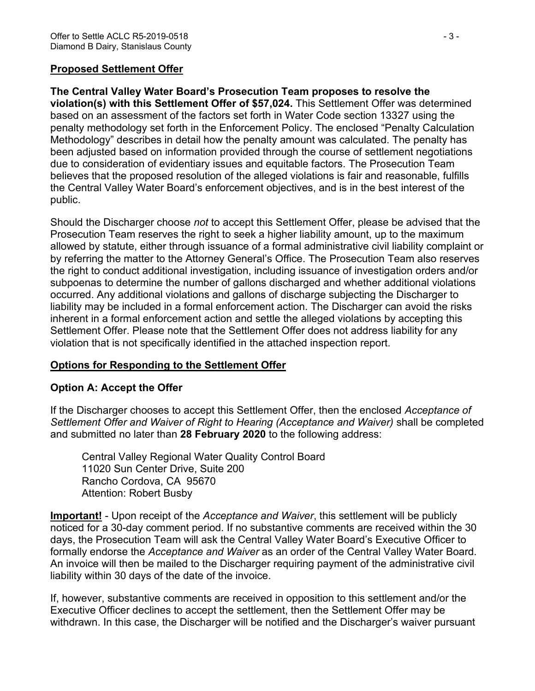#### **Proposed Settlement Offer**

**The Central Valley Water Board's Prosecution Team proposes to resolve the violation(s) with this Settlement Offer of \$57,024.** This Settlement Offer was determined based on an assessment of the factors set forth in Water Code section 13327 using the penalty methodology set forth in the Enforcement Policy. The enclosed "Penalty Calculation Methodology" describes in detail how the penalty amount was calculated. The penalty has been adjusted based on information provided through the course of settlement negotiations due to consideration of evidentiary issues and equitable factors. The Prosecution Team believes that the proposed resolution of the alleged violations is fair and reasonable, fulfills the Central Valley Water Board's enforcement objectives, and is in the best interest of the public.

Should the Discharger choose *not* to accept this Settlement Offer, please be advised that the Prosecution Team reserves the right to seek a higher liability amount, up to the maximum allowed by statute, either through issuance of a formal administrative civil liability complaint or by referring the matter to the Attorney General's Office. The Prosecution Team also reserves the right to conduct additional investigation, including issuance of investigation orders and/or subpoenas to determine the number of gallons discharged and whether additional violations occurred. Any additional violations and gallons of discharge subjecting the Discharger to liability may be included in a formal enforcement action. The Discharger can avoid the risks inherent in a formal enforcement action and settle the alleged violations by accepting this Settlement Offer. Please note that the Settlement Offer does not address liability for any violation that is not specifically identified in the attached inspection report.

# **Options for Responding to the Settlement Offer**

#### **Option A: Accept the Offer**

If the Discharger chooses to accept this Settlement Offer, then the enclosed *Acceptance of Settlement Offer and Waiver of Right to Hearing (Acceptance and Waiver)* shall be completed and submitted no later than **28 February 2020** to the following address:

Central Valley Regional Water Quality Control Board 11020 Sun Center Drive, Suite 200 Rancho Cordova, CA 95670 Attention: Robert Busby

**Important!** - Upon receipt of the *Acceptance and Waiver*, this settlement will be publicly noticed for a 30-day comment period. If no substantive comments are received within the 30 days, the Prosecution Team will ask the Central Valley Water Board's Executive Officer to formally endorse the *Acceptance and Waiver* as an order of the Central Valley Water Board. An invoice will then be mailed to the Discharger requiring payment of the administrative civil liability within 30 days of the date of the invoice.

If, however, substantive comments are received in opposition to this settlement and/or the Executive Officer declines to accept the settlement, then the Settlement Offer may be withdrawn. In this case, the Discharger will be notified and the Discharger's waiver pursuant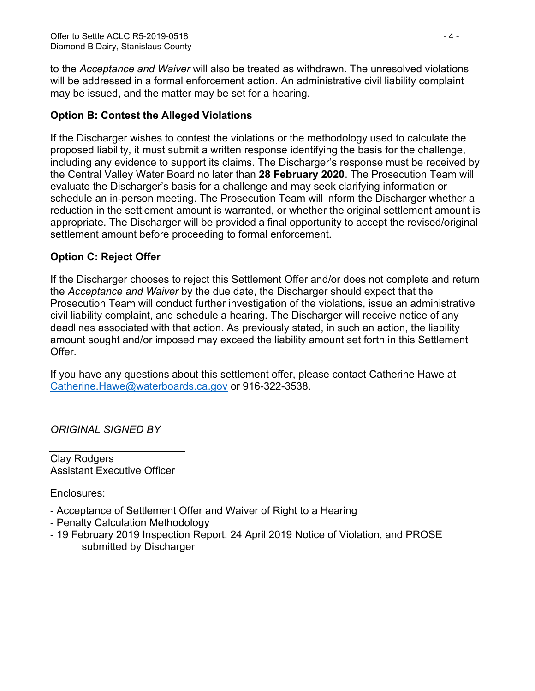to the *Acceptance and Waiver* will also be treated as withdrawn. The unresolved violations will be addressed in a formal enforcement action. An administrative civil liability complaint may be issued, and the matter may be set for a hearing.

# **Option B: Contest the Alleged Violations**

If the Discharger wishes to contest the violations or the methodology used to calculate the proposed liability, it must submit a written response identifying the basis for the challenge, including any evidence to support its claims. The Discharger's response must be received by the Central Valley Water Board no later than **28 February 2020**. The Prosecution Team will evaluate the Discharger's basis for a challenge and may seek clarifying information or schedule an in-person meeting. The Prosecution Team will inform the Discharger whether a reduction in the settlement amount is warranted, or whether the original settlement amount is appropriate. The Discharger will be provided a final opportunity to accept the revised/original settlement amount before proceeding to formal enforcement.

# **Option C: Reject Offer**

If the Discharger chooses to reject this Settlement Offer and/or does not complete and return the *Acceptance and Waiver* by the due date, the Discharger should expect that the Prosecution Team will conduct further investigation of the violations, issue an administrative civil liability complaint, and schedule a hearing. The Discharger will receive notice of any deadlines associated with that action. As previously stated, in such an action, the liability amount sought and/or imposed may exceed the liability amount set forth in this Settlement Offer.

If you have any questions about this settlement offer, please contact Catherine Hawe at [Catherine.Hawe@waterboards.ca.gov](mailto:Catherine.Hawe@waterboards.ca.gov) or 916-322-3538.

*ORIGINAL SIGNED BY*

Clay Rodgers Assistant Executive Officer

Enclosures:

- Acceptance of Settlement Offer and Waiver of Right to a Hearing
- Penalty Calculation Methodology
- 19 February 2019 Inspection Report, 24 April 2019 Notice of Violation, and PROSE submitted by Discharger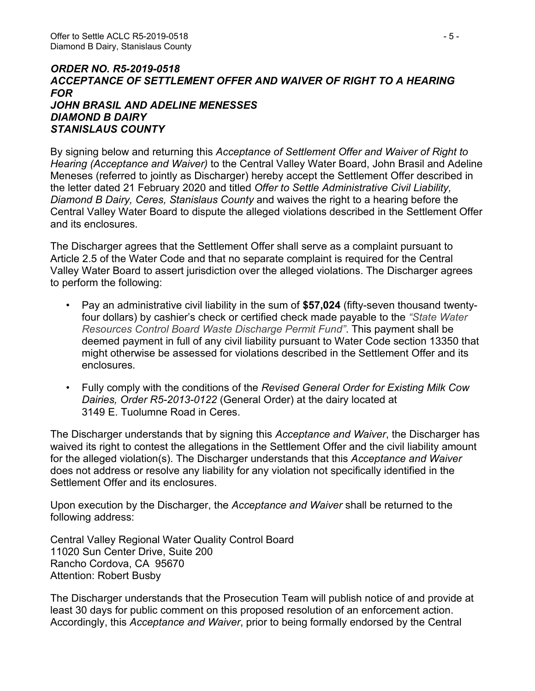#### *ORDER NO. R5-2019-0518 ACCEPTANCE OF SETTLEMENT OFFER AND WAIVER OF RIGHT TO A HEARING FOR JOHN BRASIL AND ADELINE MENESSES DIAMOND B DAIRY STANISLAUS COUNTY*

By signing below and returning this *Acceptance of Settlement Offer and Waiver of Right to Hearing (Acceptance and Waiver)* to the Central Valley Water Board, John Brasil and Adeline Meneses (referred to jointly as Discharger) hereby accept the Settlement Offer described in the letter dated 21 February 2020 and titled *Offer to Settle Administrative Civil Liability, Diamond B Dairy, Ceres, Stanislaus County* and waives the right to a hearing before the Central Valley Water Board to dispute the alleged violations described in the Settlement Offer and its enclosures.

The Discharger agrees that the Settlement Offer shall serve as a complaint pursuant to Article 2.5 of the Water Code and that no separate complaint is required for the Central Valley Water Board to assert jurisdiction over the alleged violations. The Discharger agrees to perform the following:

- Pay an administrative civil liability in the sum of **\$57,024** (fifty-seven thousand twentyfour dollars) by cashier's check or certified check made payable to the *"State Water Resources Control Board Waste Discharge Permit Fund"*. This payment shall be deemed payment in full of any civil liability pursuant to Water Code section 13350 that might otherwise be assessed for violations described in the Settlement Offer and its enclosures.
- Fully comply with the conditions of the *Revised General Order for Existing Milk Cow Dairies, Order R5-2013-0122* (General Order) at the dairy located at 3149 E. Tuolumne Road in Ceres.

The Discharger understands that by signing this *Acceptance and Waiver*, the Discharger has waived its right to contest the allegations in the Settlement Offer and the civil liability amount for the alleged violation(s). The Discharger understands that this *Acceptance and Waiver* does not address or resolve any liability for any violation not specifically identified in the Settlement Offer and its enclosures.

Upon execution by the Discharger, the *Acceptance and Waiver* shall be returned to the following address:

Central Valley Regional Water Quality Control Board 11020 Sun Center Drive, Suite 200 Rancho Cordova, CA 95670 Attention: Robert Busby

The Discharger understands that the Prosecution Team will publish notice of and provide at least 30 days for public comment on this proposed resolution of an enforcement action. Accordingly, this *Acceptance and Waiver*, prior to being formally endorsed by the Central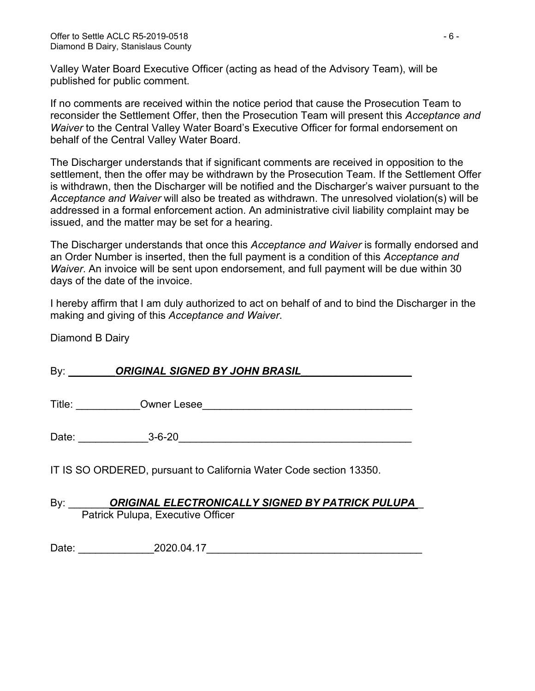Valley Water Board Executive Officer (acting as head of the Advisory Team), will be published for public comment.

If no comments are received within the notice period that cause the Prosecution Team to reconsider the Settlement Offer, then the Prosecution Team will present this *Acceptance and Waiver* to the Central Valley Water Board's Executive Officer for formal endorsement on behalf of the Central Valley Water Board.

The Discharger understands that if significant comments are received in opposition to the settlement, then the offer may be withdrawn by the Prosecution Team. If the Settlement Offer is withdrawn, then the Discharger will be notified and the Discharger's waiver pursuant to the *Acceptance and Waiver* will also be treated as withdrawn. The unresolved violation(s) will be addressed in a formal enforcement action. An administrative civil liability complaint may be issued, and the matter may be set for a hearing.

The Discharger understands that once this *Acceptance and Waiver* is formally endorsed and an Order Number is inserted, then the full payment is a condition of this *Acceptance and Waiver*. An invoice will be sent upon endorsement, and full payment will be due within 30 days of the date of the invoice.

I hereby affirm that I am duly authorized to act on behalf of and to bind the Discharger in the making and giving of this *Acceptance and Waiver*.

Diamond B Dairy

| By: <b>ORIGINAL SIGNED BY JOHN BRASIL</b>                                                        |
|--------------------------------------------------------------------------------------------------|
|                                                                                                  |
| Date: 3-6-20                                                                                     |
| IT IS SO ORDERED, pursuant to California Water Code section 13350.                               |
| By: <b>ORIGINAL ELECTRONICALLY SIGNED BY PATRICK PULUPA</b><br>Patrick Pulupa, Executive Officer |

Date: 2020.04.17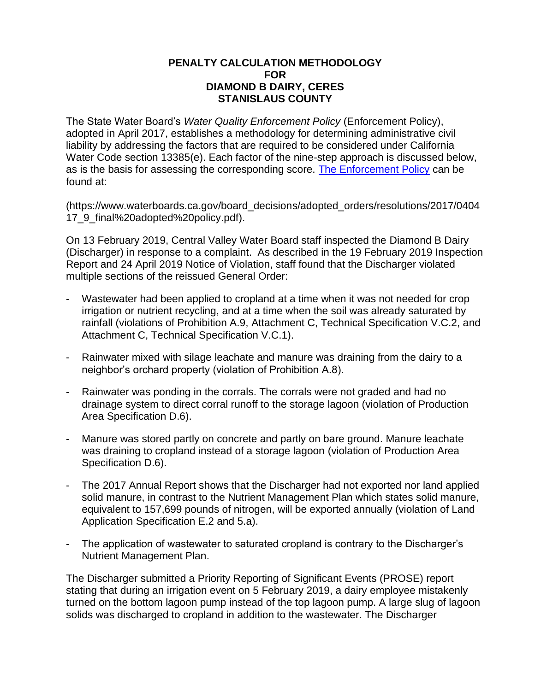#### **PENALTY CALCULATION METHODOLOGY FOR DIAMOND B DAIRY, CERES STANISLAUS COUNTY**

The State Water Board's *Water Quality Enforcement Policy* (Enforcement Policy), adopted in April 2017, establishes a methodology for determining administrative civil liability by addressing the factors that are required to be considered under California Water Code section 13385(e). Each factor of the nine-step approach is discussed below, as is the basis for assessing the corresponding score. [The Enforcement Policy](https://www.waterboards.ca.gov/board_decisions/adopted_orders/resolutions/2017/040417_9_final%20adopted%20policy.pdf) can be found at:

(https://www.waterboards.ca.gov/board\_decisions/adopted\_orders/resolutions/2017/0404 17\_9\_final%20adopted%20policy.pdf).

On 13 February 2019, Central Valley Water Board staff inspected the Diamond B Dairy (Discharger) in response to a complaint. As described in the 19 February 2019 Inspection Report and 24 April 2019 Notice of Violation, staff found that the Discharger violated multiple sections of the reissued General Order:

- Wastewater had been applied to cropland at a time when it was not needed for crop irrigation or nutrient recycling, and at a time when the soil was already saturated by rainfall (violations of Prohibition A.9, Attachment C, Technical Specification V.C.2, and Attachment C, Technical Specification V.C.1).
- Rainwater mixed with silage leachate and manure was draining from the dairy to a neighbor's orchard property (violation of Prohibition A.8).
- Rainwater was ponding in the corrals. The corrals were not graded and had no drainage system to direct corral runoff to the storage lagoon (violation of Production Area Specification D.6).
- Manure was stored partly on concrete and partly on bare ground. Manure leachate was draining to cropland instead of a storage lagoon (violation of Production Area Specification D.6).
- The 2017 Annual Report shows that the Discharger had not exported nor land applied solid manure, in contrast to the Nutrient Management Plan which states solid manure, equivalent to 157,699 pounds of nitrogen, will be exported annually (violation of Land Application Specification E.2 and 5.a).
- The application of wastewater to saturated cropland is contrary to the Discharger's Nutrient Management Plan.

The Discharger submitted a Priority Reporting of Significant Events (PROSE) report stating that during an irrigation event on 5 February 2019, a dairy employee mistakenly turned on the bottom lagoon pump instead of the top lagoon pump. A large slug of lagoon solids was discharged to cropland in addition to the wastewater. The Discharger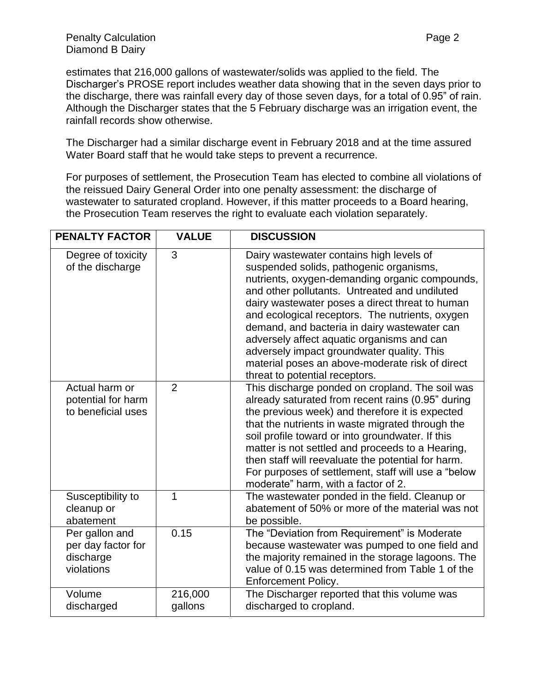estimates that 216,000 gallons of wastewater/solids was applied to the field. The Discharger's PROSE report includes weather data showing that in the seven days prior to the discharge, there was rainfall every day of those seven days, for a total of 0.95" of rain. Although the Discharger states that the 5 February discharge was an irrigation event, the rainfall records show otherwise.

The Discharger had a similar discharge event in February 2018 and at the time assured Water Board staff that he would take steps to prevent a recurrence.

For purposes of settlement, the Prosecution Team has elected to combine all violations of the reissued Dairy General Order into one penalty assessment: the discharge of wastewater to saturated cropland. However, if this matter proceeds to a Board hearing, the Prosecution Team reserves the right to evaluate each violation separately.

| <b>PENALTY FACTOR</b>                                           | <b>VALUE</b>       | <b>DISCUSSION</b>                                                                                                                                                                                                                                                                                                                                                                                                                                                                                                             |
|-----------------------------------------------------------------|--------------------|-------------------------------------------------------------------------------------------------------------------------------------------------------------------------------------------------------------------------------------------------------------------------------------------------------------------------------------------------------------------------------------------------------------------------------------------------------------------------------------------------------------------------------|
| Degree of toxicity<br>of the discharge                          | 3                  | Dairy wastewater contains high levels of<br>suspended solids, pathogenic organisms,<br>nutrients, oxygen-demanding organic compounds,<br>and other pollutants. Untreated and undiluted<br>dairy wastewater poses a direct threat to human<br>and ecological receptors. The nutrients, oxygen<br>demand, and bacteria in dairy wastewater can<br>adversely affect aquatic organisms and can<br>adversely impact groundwater quality. This<br>material poses an above-moderate risk of direct<br>threat to potential receptors. |
| Actual harm or<br>potential for harm<br>to beneficial uses      | $\overline{2}$     | This discharge ponded on cropland. The soil was<br>already saturated from recent rains (0.95" during<br>the previous week) and therefore it is expected<br>that the nutrients in waste migrated through the<br>soil profile toward or into groundwater. If this<br>matter is not settled and proceeds to a Hearing,<br>then staff will reevaluate the potential for harm.<br>For purposes of settlement, staff will use a "below<br>moderate" harm, with a factor of 2.                                                       |
| Susceptibility to<br>cleanup or<br>abatement                    | 1                  | The wastewater ponded in the field. Cleanup or<br>abatement of 50% or more of the material was not<br>be possible.                                                                                                                                                                                                                                                                                                                                                                                                            |
| Per gallon and<br>per day factor for<br>discharge<br>violations | 0.15               | The "Deviation from Requirement" is Moderate<br>because wastewater was pumped to one field and<br>the majority remained in the storage lagoons. The<br>value of 0.15 was determined from Table 1 of the<br>Enforcement Policy.                                                                                                                                                                                                                                                                                                |
| Volume<br>discharged                                            | 216,000<br>gallons | The Discharger reported that this volume was<br>discharged to cropland.                                                                                                                                                                                                                                                                                                                                                                                                                                                       |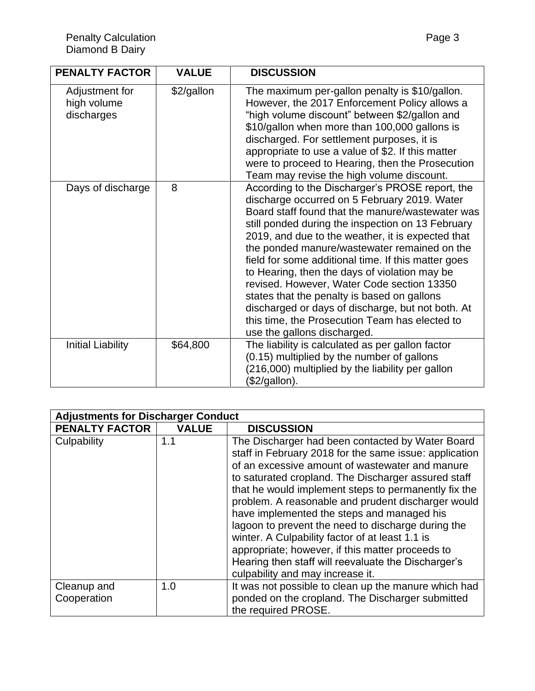| <b>PENALTY FACTOR</b>                       | <b>VALUE</b> | <b>DISCUSSION</b>                                                                                                                                                                                                                                                                                                                                                                                                                                                                                                                                                                                                                                        |
|---------------------------------------------|--------------|----------------------------------------------------------------------------------------------------------------------------------------------------------------------------------------------------------------------------------------------------------------------------------------------------------------------------------------------------------------------------------------------------------------------------------------------------------------------------------------------------------------------------------------------------------------------------------------------------------------------------------------------------------|
| Adjustment for<br>high volume<br>discharges | \$2/gallon   | The maximum per-gallon penalty is \$10/gallon.<br>However, the 2017 Enforcement Policy allows a<br>"high volume discount" between \$2/gallon and<br>\$10/gallon when more than 100,000 gallons is<br>discharged. For settlement purposes, it is<br>appropriate to use a value of \$2. If this matter<br>were to proceed to Hearing, then the Prosecution<br>Team may revise the high volume discount.                                                                                                                                                                                                                                                    |
| Days of discharge                           | 8            | According to the Discharger's PROSE report, the<br>discharge occurred on 5 February 2019. Water<br>Board staff found that the manure/wastewater was<br>still ponded during the inspection on 13 February<br>2019, and due to the weather, it is expected that<br>the ponded manure/wastewater remained on the<br>field for some additional time. If this matter goes<br>to Hearing, then the days of violation may be<br>revised. However, Water Code section 13350<br>states that the penalty is based on gallons<br>discharged or days of discharge, but not both. At<br>this time, the Prosecution Team has elected to<br>use the gallons discharged. |
| <b>Initial Liability</b>                    | \$64,800     | The liability is calculated as per gallon factor<br>(0.15) multiplied by the number of gallons<br>(216,000) multiplied by the liability per gallon<br>(\$2/gallon).                                                                                                                                                                                                                                                                                                                                                                                                                                                                                      |

| <b>Adjustments for Discharger Conduct</b> |              |                                                                                                                                                                                                                                                                                                                                                                                                                                                                                                                                                                                                                                          |
|-------------------------------------------|--------------|------------------------------------------------------------------------------------------------------------------------------------------------------------------------------------------------------------------------------------------------------------------------------------------------------------------------------------------------------------------------------------------------------------------------------------------------------------------------------------------------------------------------------------------------------------------------------------------------------------------------------------------|
| <b>PENALTY FACTOR</b>                     | <b>VALUE</b> | <b>DISCUSSION</b>                                                                                                                                                                                                                                                                                                                                                                                                                                                                                                                                                                                                                        |
| Culpability                               | 1.1          | The Discharger had been contacted by Water Board<br>staff in February 2018 for the same issue: application<br>of an excessive amount of wastewater and manure<br>to saturated cropland. The Discharger assured staff<br>that he would implement steps to permanently fix the<br>problem. A reasonable and prudent discharger would<br>have implemented the steps and managed his<br>lagoon to prevent the need to discharge during the<br>winter. A Culpability factor of at least 1.1 is<br>appropriate; however, if this matter proceeds to<br>Hearing then staff will reevaluate the Discharger's<br>culpability and may increase it. |
| Cleanup and<br>Cooperation                | 1.0          | It was not possible to clean up the manure which had<br>ponded on the cropland. The Discharger submitted<br>the required PROSE.                                                                                                                                                                                                                                                                                                                                                                                                                                                                                                          |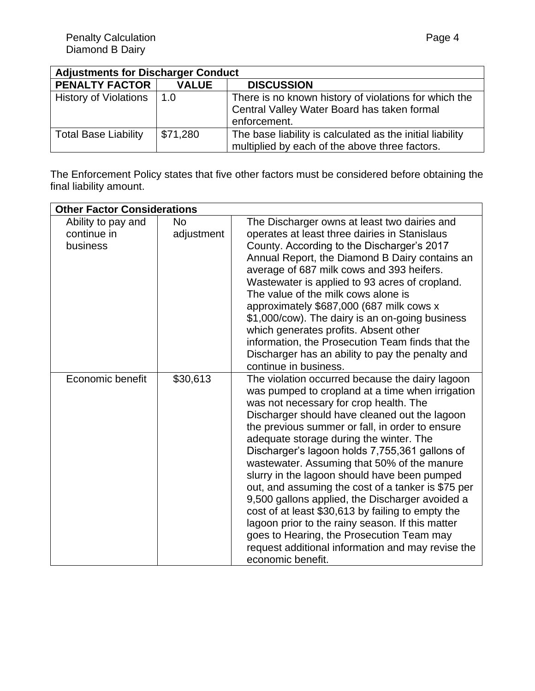| <b>Adjustments for Discharger Conduct</b> |              |                                                                                                                      |
|-------------------------------------------|--------------|----------------------------------------------------------------------------------------------------------------------|
| <b>PENALTY FACTOR</b>                     | <b>VALUE</b> | <b>DISCUSSION</b>                                                                                                    |
| <b>History of Violations</b>              | 1.0          | There is no known history of violations for which the<br>Central Valley Water Board has taken formal<br>enforcement. |
| <b>Total Base Liability</b>               | \$71,280     | The base liability is calculated as the initial liability<br>multiplied by each of the above three factors.          |

The Enforcement Policy states that five other factors must be considered before obtaining the final liability amount.

| <b>Other Factor Considerations</b> |            |                                                                                               |
|------------------------------------|------------|-----------------------------------------------------------------------------------------------|
| Ability to pay and                 | <b>No</b>  | The Discharger owns at least two dairies and                                                  |
| continue in                        | adjustment | operates at least three dairies in Stanislaus                                                 |
| business                           |            | County. According to the Discharger's 2017<br>Annual Report, the Diamond B Dairy contains an  |
|                                    |            | average of 687 milk cows and 393 heifers.                                                     |
|                                    |            | Wastewater is applied to 93 acres of cropland.                                                |
|                                    |            | The value of the milk cows alone is                                                           |
|                                    |            | approximately \$687,000 (687 milk cows x                                                      |
|                                    |            | \$1,000/cow). The dairy is an on-going business<br>which generates profits. Absent other      |
|                                    |            | information, the Prosecution Team finds that the                                              |
|                                    |            | Discharger has an ability to pay the penalty and                                              |
|                                    |            | continue in business.                                                                         |
| Economic benefit                   | \$30,613   | The violation occurred because the dairy lagoon                                               |
|                                    |            | was pumped to cropland at a time when irrigation<br>was not necessary for crop health. The    |
|                                    |            | Discharger should have cleaned out the lagoon                                                 |
|                                    |            | the previous summer or fall, in order to ensure                                               |
|                                    |            | adequate storage during the winter. The                                                       |
|                                    |            | Discharger's lagoon holds 7,755,361 gallons of                                                |
|                                    |            | wastewater. Assuming that 50% of the manure<br>slurry in the lagoon should have been pumped   |
|                                    |            | out, and assuming the cost of a tanker is \$75 per                                            |
|                                    |            | 9,500 gallons applied, the Discharger avoided a                                               |
|                                    |            | cost of at least \$30,613 by failing to empty the                                             |
|                                    |            | lagoon prior to the rainy season. If this matter<br>goes to Hearing, the Prosecution Team may |
|                                    |            | request additional information and may revise the                                             |
|                                    |            | economic benefit.                                                                             |